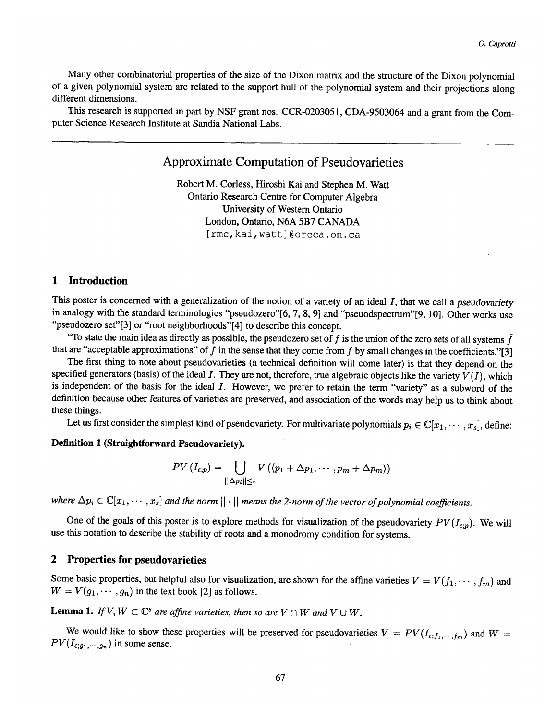Many other combinatorial properties of the size of the Dixon matrix and the structure of the Dixon polynomial of a given polynomial system are related to the support hull of the polynomial system and their projections along different dimensions.

This research is supported in part by NSF grant nos. CCR-0203051, CDA-9503064 and a grant from the Computer Science Research Institute at Sandia National Labs.

# **Approximate Computation of Pseudovafieties**

Robert M. Corless, Hiroshi Kai and Stephen M. Watt Ontario Research Centre for Computer Algebra University of Western Ontario London, Ontario, N6A 5B7 CANADA [rmc, kai, watt]@orcca.on.ca

#### **1 Introduction**   $\mathbf 1$

This poster is concerned with a generalization of the notion of a variety of an ideal I, that we call a *pseudovariety*  in analogy with the standard terminologies "pseudozero"[6, 7, 8, 9] and "pseuodspectrum"[9, 10]. Other works use "pseudozero set"[3] or "root neighborhoods"[4] to describe this concept.

"To state the main idea as directly as possible, the pseudozero set of f is the union of the zero sets of all systems  $\hat{f}$ that are "acceptable approximations" of f in the sense that they come from f by small changes in the coefficients."[3]

The first thing to note about pseudovarieties (a technical definition will come later) is that they depend on the specified generators (basis) of the ideal  $I$ . They are not, therefore, true algebraic objects like the variety  $V(I)$ , which is independent of the basis for the ideal I. However, we prefer to retain the term "variety" as a subword of the definition because other features of varieties are preserved, and association of the words may help us to think about these things.

Let us first consider the simplest kind of pseudovariety. For multivariate polynomials  $p_i \in \mathbb{C}[x_1,\dots, x_s]$ , define:

## **Definition 1 (Straightforward Pseudovariety).**

$$
PV\left(I_{\epsilon;p}\right)=\bigcup_{||\Delta p_i||\leq\epsilon}V\left(\langle p_1+\Delta p_1,\cdots,p_m+\Delta p_m\rangle\right)
$$

where  $\Delta p_i \in \mathbb{C}[x_1, \dots, x_s]$  and the norm  $||\cdot||$  *means the 2-norm of the vector of polynomial coefficients.* 

One of the goals of this poster is to explore methods for visualization of the pseudovariety  $PV(I_{\epsilon;p})$ . We will use this notation to describe the stability of roots and a monodromy condition for systems.

#### $\mathbf{2}$ **2 Properties for pseudovarieties**

Some basic properties, but helpful also for visualization, are shown for the affine varieties  $V = V(f_1, \dots, f_m)$  and  $W = V(g_1, \dots, g_n)$  in the text book [2] as follows.

**Lemma 1.** *If*  $V, W \subset \mathbb{C}^s$  are affine varieties, then so are  $V \cap W$  and  $V \cup W$ .

We would like to show these properties will be preserved for pseudovarieties  $V = PV(I_{\epsilon;f_1,\dots,f_m})$  and  $W =$  $PV(I_{\epsilon;g_1,\dots,g_n})$  in some sense.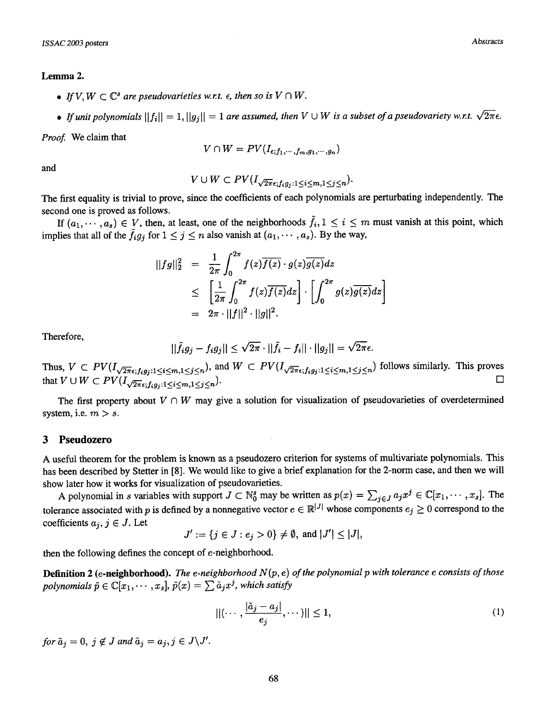### Lemma 2.

- If  $V, W \subset \mathbb{C}^s$  are pseudovarieties w.r.t.  $\epsilon$ , then so is  $V \cap W$ .
- If unit polynomials  $||f_i|| = 1, ||g_i|| = 1$  are assumed, then  $V \cup W$  is a subset of a pseudovariety w.r.t.  $\sqrt{2\pi} \epsilon$ .

*Proof.* We claim that

$$
V\cap W=PV(I_{\epsilon;f_1,\cdots,f_m,g_1,\cdots,g_n})
$$

$$
V\cup W\subset PV(I_{\sqrt{2\pi}\epsilon;f_ig_j:1\leq i\leq m,1\leq j\leq n}).
$$

The first equality is trivial to prove, since the coefficients of each polynomials are perturbating independently. The second one is proved as follows.

If  $(a_1,\dots, a_s) \in V$ , then, at least, one of the neighborhoods  $\tilde{f}_i, 1 \leq i \leq m$  must vanish at this point, which implies that all of the  $\tilde{f}_i g_j$  for  $1 \leq j \leq n$  also vanish at  $(a_1, \dots, a_s)$ . By the way,

$$
\begin{array}{rcl} ||fg||_2^2 &=& \frac{1}{2\pi} \int_0^{2\pi} f(z) \overline{f(z)} \cdot g(z) \overline{g(z)} dz \\ &\leq & \left[ \frac{1}{2\pi} \int_0^{2\pi} f(z) \overline{f(z)} dz \right] \cdot \left[ \int_0^{2\pi} g(z) \overline{g(z)} dz \right] \\ &=& 2\pi \cdot ||f||^2 \cdot ||g||^2. \end{array}
$$

Therefore,

$$
||\tilde{f}_i g_j - f_i g_j|| \leq \sqrt{2\pi} \cdot ||\tilde{f}_i - f_i|| \cdot ||g_j|| = \sqrt{2\pi} \epsilon.
$$

Thus,  $V \subset PV(I_{\sqrt{2\pi}\epsilon;f_ig_j:1\leq i\leq m,1\leq j\leq n})$ , and  $W \subset PV(I_{\sqrt{2\pi}\epsilon;f_ig_j:1\leq i\leq m,1\leq j\leq n})$  follows similarly. This proves that  $V \cup W \subset PV(I_{\sqrt{2\pi}\epsilon; f_i g_j:1 \leq i \leq m,1 \leq j \leq n}).$  $\Box$ 

The first property about  $V \cap W$  may give a solution for visualization of pseudovarieties of overdetermined system, i.e.  $m > s$ .

### **3 Pseudozero**

A useful theorem for the problem is known as a pseudozero criterion for systems of multivariate polynomials. This has been described by Stetter in [8]. We would like to give a brief explanation for the 2-norm case, and then we will show later how it works for visualization of pseudovarieties.

A polynomial in s variables with support  $J \subset \mathbb{N}_0^s$  may be written as  $p(x) = \sum_{j \in J} a_j x^j \in \mathbb{C}[x_1, \dots, x_s]$ . The tolerance associated with p is defined by a nonnegative vector  $e \in \mathbb{R}^{|J|}$  whose components  $e_j \geq 0$  correspond to the coefficients  $a_j, j \in J$ . Let

$$
J' := \{j \in J : e_j > 0\} \neq \emptyset, \text{ and } |J'| \leq |J|,
$$

then the following defines the concept of e-neighborhood.

**Definition 2** (e-neighborhood). *The e-neighborhood N (p, e) of the polynomial p with tolerance e consists of those polynomials*  $\tilde{p} \in \mathbb{C}[x_1, \cdots, x_s], \tilde{p}(x) = \sum \tilde{a}_i x^j$ , which satisfy

$$
||(\cdots,\frac{|\tilde{a}_j-a_j|}{e_j},\cdots)|| \le 1,
$$
\n(1)

*for*  $\tilde{a}_j = 0$ ,  $j \notin J$  and  $\tilde{a}_j = a_j$ ,  $j \in J\backslash J'$ .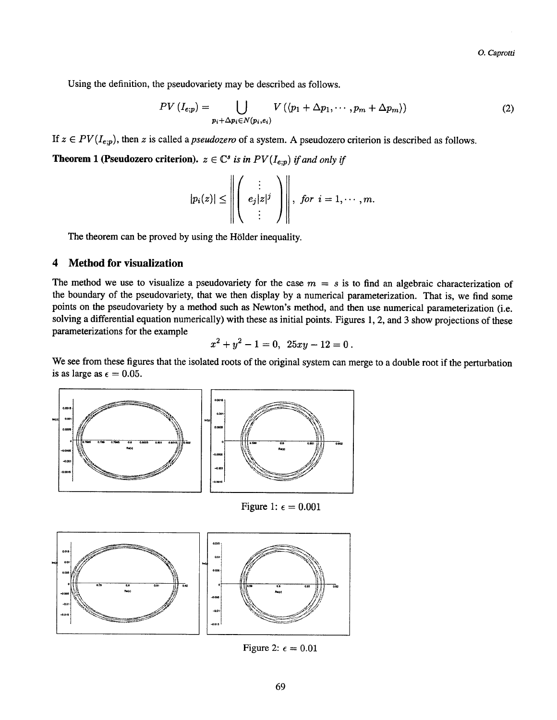**Using the definition, the pseudovariety may be described as follows.** 

$$
PV\left(I_{e;p}\right) = \bigcup_{p_i + \Delta p_i \in N(p_i,e_i)} V\left(\langle p_1 + \Delta p_1, \cdots, p_m + \Delta p_m \rangle\right) \tag{2}
$$

If  $z \in PV(I_{e;p})$ , then z is called a *pseudozero* of a system. A pseudozero criterion is described as follows.

**Theorem 1 (Pseudozero criterion).**  $z \in \mathbb{C}^s$  is in  $PV(I_{e;p})$  if and only if

$$
|p_i(z)| \leq \left\| \left( \begin{array}{c} \vdots \\ e_j|z|^j \\ \vdots \end{array} \right) \right\|, \text{ for } i = 1, \cdots, m.
$$

The theorem can be proved by using the Hölder inequality.

#### $\boldsymbol{4}$ **4 Method for visualization**

The method we use to visualize a pseudovariety for the case  $m = s$  is to find an algebraic characterization of **the boundary of the pseudovariety, that we then display by a numerical parameterization. That is, we find some points on the pseudovariety by a method such as Newton's method, and then use numerical parameterization (i.e. solving a differential equation numerically) with these as initial points. Figures 1, 2, and 3 show projections of these parameterizations for the example** 

$$
x^2 + y^2 - 1 = 0, \ \ 25xy - 12 = 0 \ .
$$

**We see from these figures that the isolated roots of the original system can merge to a double root if the perturbation**  is as large as  $\epsilon = 0.05$ .



Figure 1:  $\epsilon = 0.001$ 



Figure 2:  $\epsilon = 0.01$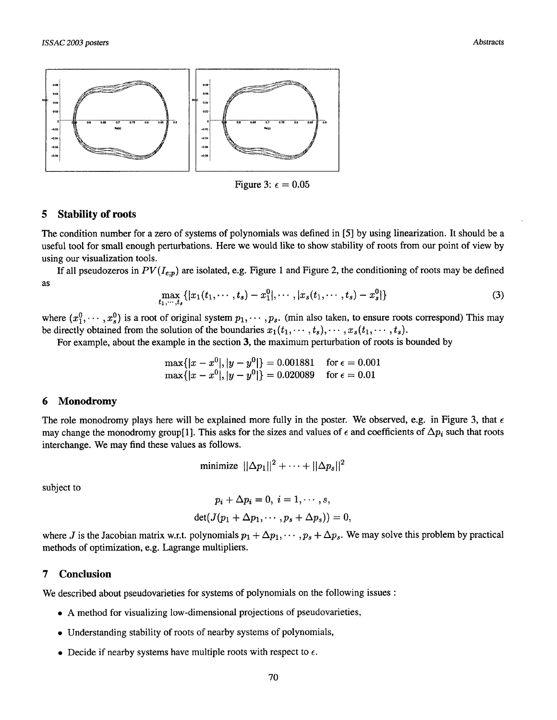

Figure 3:  $\epsilon = 0.05$ 

### 5 Stability of roots

The condition number for a zero of systems of polynomials was defined in [5] by using linearization. It should be a useful tool for small enough perturbations. Here we would like to show stability of roots from our point of view by using our visualization tools.

If all pseudozeros in  $PV(I_{e,p})$  are isolated, e.g. Figure 1 and Figure 2, the conditioning of roots may be defined as

$$
\max_{t_1,\cdots,t_s}\{|x_1(t_1,\cdots,t_s)-x_1^0|,\cdots,|x_s(t_1,\cdots,t_s)-x_s^0|\}\qquad \qquad (3)
$$

where  $(x_1^0, \dots, x_s^0)$  is a root of original system  $p_1, \dots, p_s$ . (min also taken, to ensure roots correspond) This may be directly obtained from the solution of the boundaries  $x_1(t_1,\dots, t_s), \dots, x_s(t_1,\dots, t_s)$ .

For example, about the example in the section 3, the maximum perturbation of roots is bounded by

$$
\max\{|x - x^0|, |y - y^0|\} = 0.001881 \quad \text{for } \epsilon = 0.001
$$
  

$$
\max\{|x - x^0|, |y - y^0|\} = 0.020089 \quad \text{for } \epsilon = 0.01
$$

### **6 Monodromy**

The role monodromy plays here will be explained more fully in the poster. We observed, e.g. in Figure 3, that  $\epsilon$ may change the monodromy group[1]. This asks for the sizes and values of  $\epsilon$  and coefficients of  $\Delta p_i$  such that roots interchange. We may find these values as follows.

$$
\text{minimize } ||\Delta p_1||^2 + \cdots + ||\Delta p_s||^2
$$

subject to

$$
p_i + \Delta p_i = 0, \ i = 1, \cdots, s,
$$

$$
\det(J(p_1 + \Delta p_1, \cdots, p_s + \Delta p_s)) = 0.
$$

where J is the Jacobian matrix w.r.t. polynomials  $p_1 + \Delta p_1, \dots, p_s + \Delta p_s$ . We may solve this problem by practical methods of optimization, e.g. Lagrange multipliers.

### **7 Conclusion**

We described about pseudovarieties for systems of polynomials on the following issues :

- A method for visualizing low-dimensional projections of pseudovarieties,
- Understanding stability of roots of nearby systems of polynomials,
- Decide if nearby systems have multiple roots with respect to  $\epsilon$ .